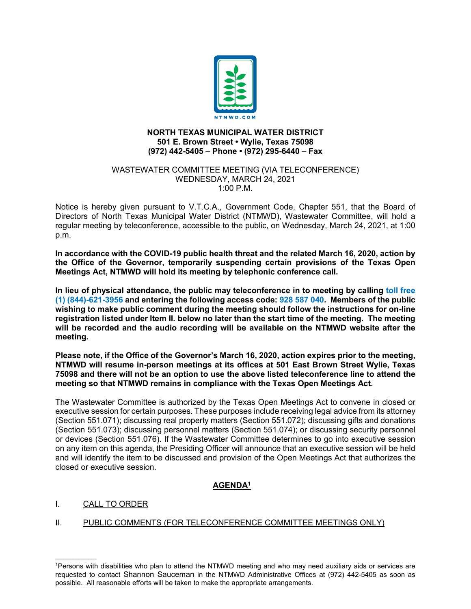

#### **NORTH TEXAS MUNICIPAL WATER DISTRICT 501 E. Brown Street • Wylie, Texas 75098 (972) 442-5405 – Phone • (972) 295-6440 – Fax**

#### WASTEWATER COMMITTEE MEETING (VIA TELECONFERENCE) WEDNESDAY, MARCH 24, 2021 1:00 P.M.

Notice is hereby given pursuant to V.T.C.A., Government Code, Chapter 551, that the Board of Directors of North Texas Municipal Water District (NTMWD), Wastewater Committee, will hold a regular meeting by teleconference, accessible to the public, on Wednesday, March 24, 2021, at 1:00 p.m.

**In accordance with the COVID-19 public health threat and the related March 16, 2020, action by the Office of the Governor, temporarily suspending certain provisions of the Texas Open Meetings Act, NTMWD will hold its meeting by telephonic conference call.** 

**In lieu of physical attendance, the public may teleconference in to meeting by calling toll free (1) (844)-621-3956 and entering the following access code: 928 587 040. Members of the public wishing to make public comment during the meeting should follow the instructions for on-line registration listed under Item II. below no later than the start time of the meeting. The meeting will be recorded and the audio recording will be available on the NTMWD website after the meeting.**

**Please note, if the Office of the Governor's March 16, 2020, action expires prior to the meeting, NTMWD will resume in-person meetings at its offices at 501 East Brown Street Wylie, Texas 75098 and there will not be an option to use the above listed teleconference line to attend the meeting so that NTMWD remains in compliance with the Texas Open Meetings Act.**

The Wastewater Committee is authorized by the Texas Open Meetings Act to convene in closed or executive session for certain purposes. These purposes include receiving legal advice from its attorney (Section 551.071); discussing real property matters (Section 551.072); discussing gifts and donations (Section 551.073); discussing personnel matters (Section 551.074); or discussing security personnel or devices (Section 551.076). If the Wastewater Committee determines to go into executive session on any item on this agenda, the Presiding Officer will announce that an executive session will be held and will identify the item to be discussed and provision of the Open Meetings Act that authorizes the closed or executive session.

# **AGENDA1**

## I. CALL TO ORDER

 $\mathcal{L}=\mathcal{L}^{\mathcal{L}}$ 

## II. PUBLIC COMMENTS (FOR TELECONFERENCE COMMITTEE MEETINGS ONLY)

<sup>1</sup>Persons with disabilities who plan to attend the NTMWD meeting and who may need auxiliary aids or services are requested to contact Shannon Sauceman in the NTMWD Administrative Offices at (972) 442-5405 as soon as possible. All reasonable efforts will be taken to make the appropriate arrangements.